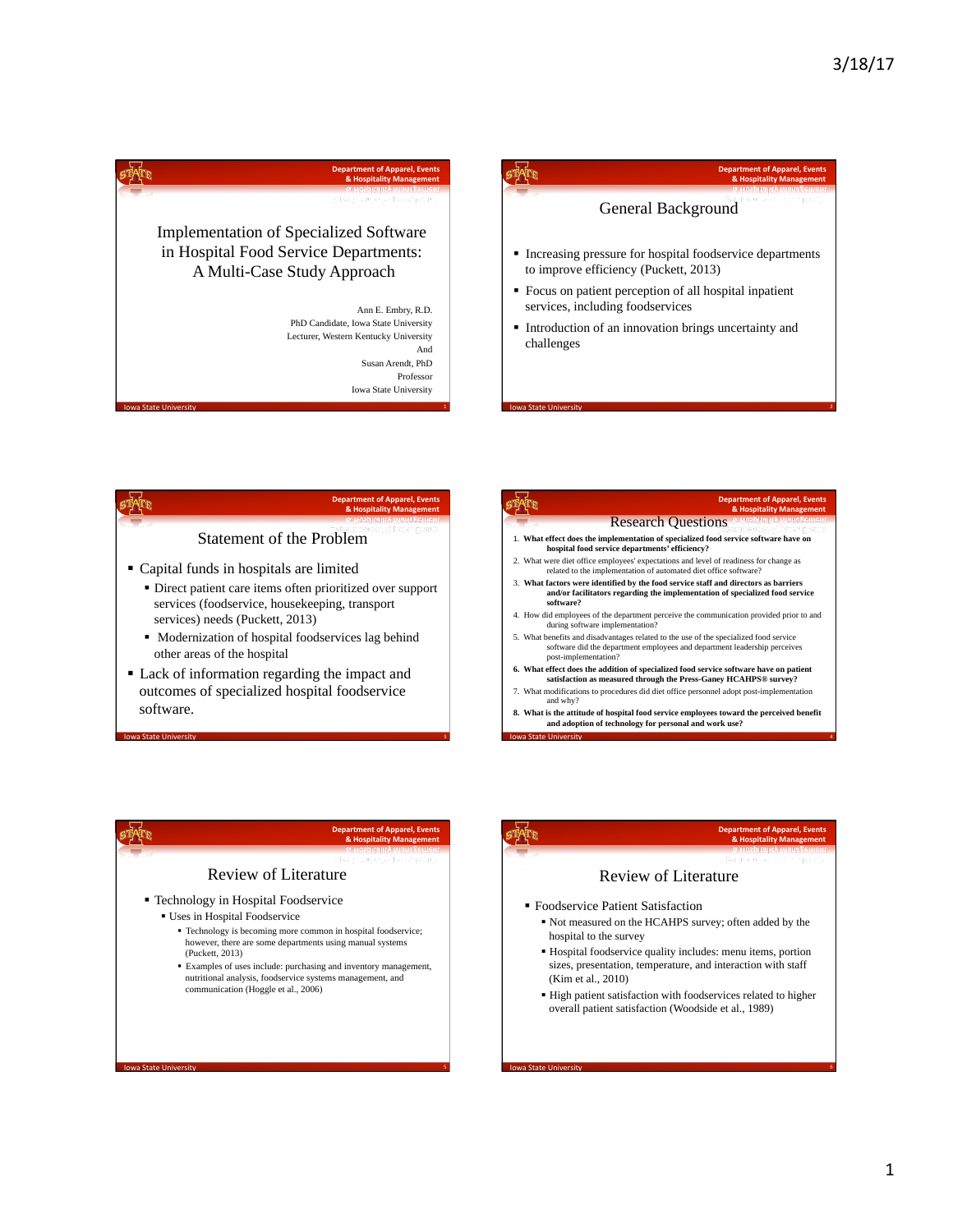







**Iowa State University 3 Iowa State University 3** 

**Iowa State University Section 2008 Contract Contract Contract Contract Contract Contract Contract Contract Contract Contract Contract Contract Contract Contract Contract Contract Contract Contract Contract Contract Co** 







**Iowa State University 6 Iowa State University 6 Iowa State University 6**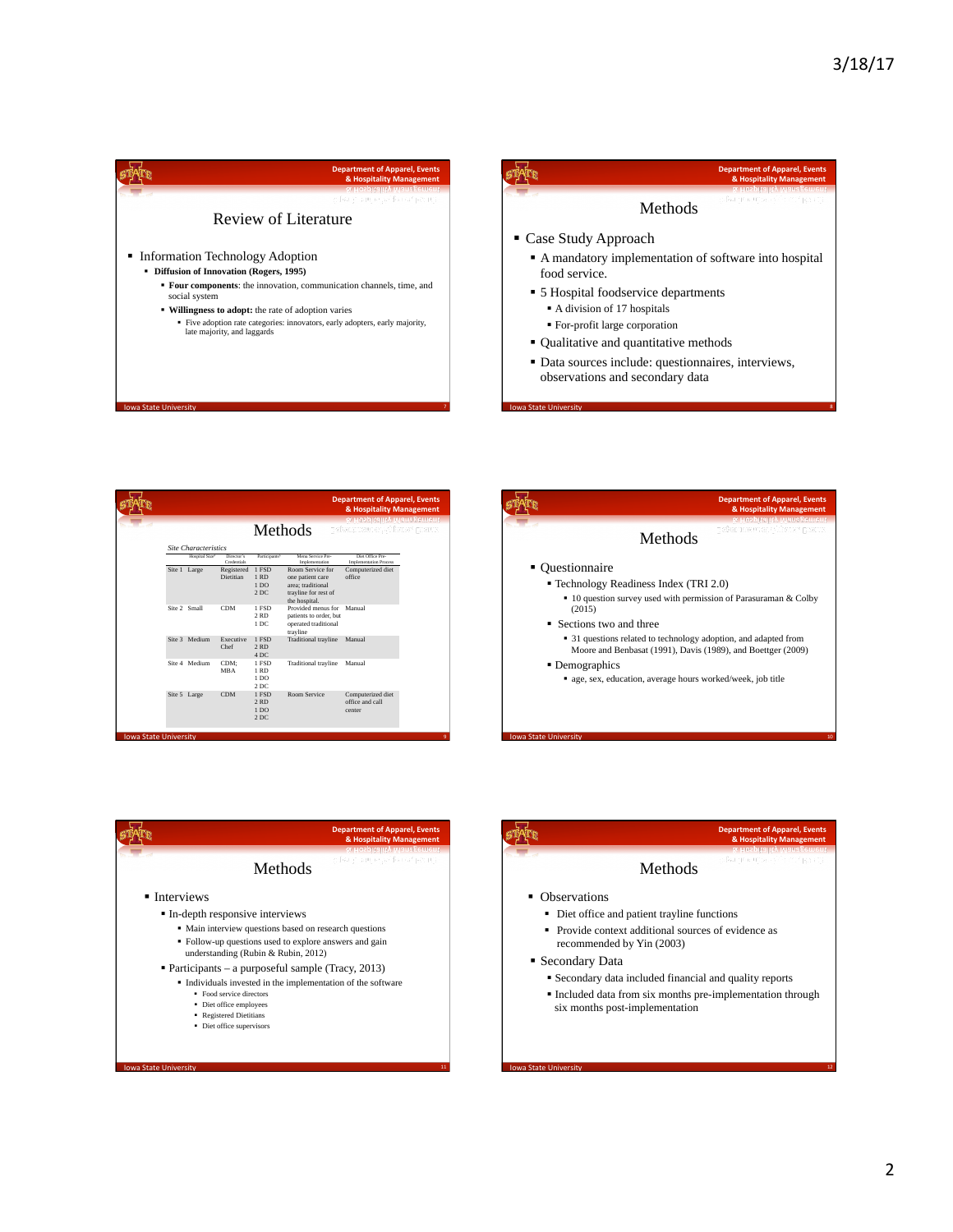



|                             |                           |                                           |                                                                                                    | & Hospitality Management<br>& Hospitality Management |  |
|-----------------------------|---------------------------|-------------------------------------------|----------------------------------------------------------------------------------------------------|------------------------------------------------------|--|
|                             |                           | Methods                                   |                                                                                                    | pabengueus et, véheuar) prouse                       |  |
| <b>Site Characteristics</b> |                           |                                           |                                                                                                    |                                                      |  |
| Hospital Size*              | Director's<br>Costentials | Participants <sup>b</sup>                 | Menu Service Pre-<br>Implementation                                                                | Diet Office Pre-<br><b>Implementation Process</b>    |  |
| Site 1 Large                | Registered<br>Dietitian   | 1 FSD<br>$1$ RD<br>1 <sub>DO</sub><br>2DC | Room Service for<br>one patient care<br>area: traditional<br>trayline for rest of<br>the hospital. | Computerized diet<br>office                          |  |
| Site 2 Small                | <b>CDM</b>                | 1 FSD<br>$2$ RD<br>1 DC                   | Provided menus for<br>patients to order, but<br>operated traditional<br>trayline                   | Manual                                               |  |
| Site 3 Medium               | Executive<br>Chef         | 1 ESD<br>2RD<br>4DC                       | <b>Traditional</b> travline                                                                        | Manual                                               |  |
| Site 4 Medium               | CDM:<br><b>MBA</b>        | 1 FSD<br>$1$ RD<br>1 <sub>DO</sub><br>2DC | Traditional trayline                                                                               | Manual                                               |  |
| Site 5 Large                | <b>CDM</b>                | 1 ESD<br>2RD<br>1 <sub>DO</sub><br>2DC    | Room Service                                                                                       | Computerized diet<br>office and call<br>center       |  |





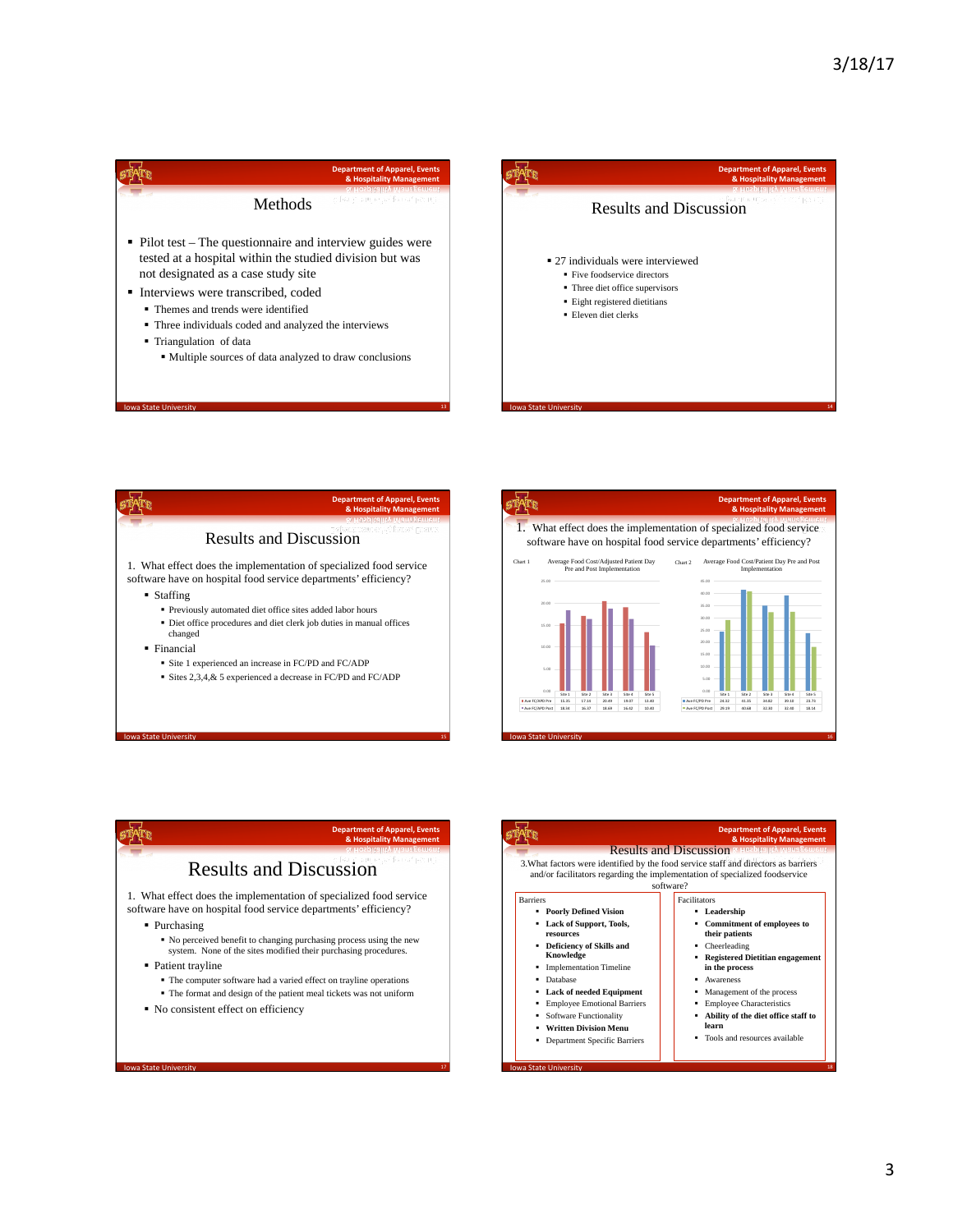

- tested at a hospital within the studied division but was not designated as a case study site
- Interviews were transcribed, coded
	- § Themes and trends were identified
	- § Three individuals coded and analyzed the interviews
	- § Triangulation of data

owa State Univ

§ Multiple sources of data analyzed to draw conclusions





15 **Iowa State University 15 Iowa State University 15** 





17 **Iowa State University** 17 **Iowa State University** 17

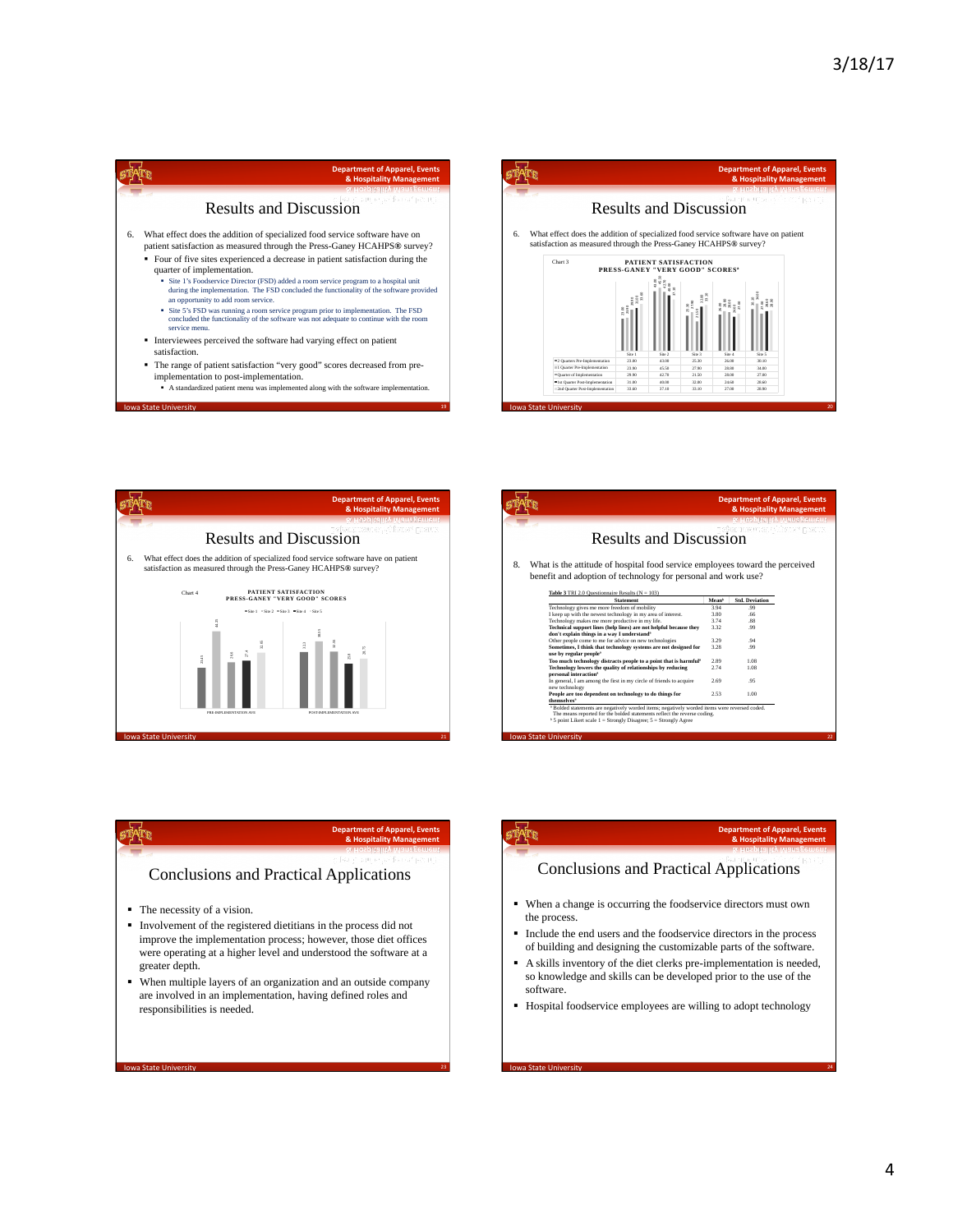

- implementation to post-implementation. § A standardized patient menu was implemented along with the software implementation.
- 19 Iowa State University **19 Iowa State University 19 Iowa State University 19**





|                                                                                                                                                                                                            |       | <b>Department of Apparel, Events</b><br>& Hospitality Management<br>& Hospitality Management  |  |
|------------------------------------------------------------------------------------------------------------------------------------------------------------------------------------------------------------|-------|-----------------------------------------------------------------------------------------------|--|
| <b>Results and Discussion</b>                                                                                                                                                                              |       | probabilities to cat with a set position                                                      |  |
| 8.<br>What is the attitude of hospital food service employees toward the perceived<br>benefit and adoption of technology for personal and work use?<br>Table 3 TRI 2.0 Questionnaire Results ( $N = 103$ ) |       |                                                                                               |  |
| <b>Statement</b>                                                                                                                                                                                           | Meanb | <b>Std. Deviation</b>                                                                         |  |
| Technology gives me more freedom of mobility                                                                                                                                                               | 394   | 99                                                                                            |  |
| I keep up with the newest technology in my area of interest.                                                                                                                                               | 3.80  | .66                                                                                           |  |
| Technology makes me more productive in my life.                                                                                                                                                            | 374   | 88                                                                                            |  |
| Technical support lines (help lines) are not helpful because they<br>don't explain things in a way I understand <sup>®</sup>                                                                               | 3.32  | .99                                                                                           |  |
| Other people come to me for advice on new technologies                                                                                                                                                     | 3.29  | .94                                                                                           |  |
| Sometimes, I think that technology systems are not designed for<br>use by regular people*                                                                                                                  | 3.28  | 99                                                                                            |  |
| Too much technology distracts people to a point that is harmful"                                                                                                                                           | 2.89  | 1.08                                                                                          |  |
| Technology lowers the quality of relationships by reducing<br>personal interaction*                                                                                                                        | 2.74  | 1.08                                                                                          |  |
| In general, I am among the first in my circle of friends to acquire<br>new technology                                                                                                                      | 2.69  | 95                                                                                            |  |
| People are too dependent on technology to do things for<br>themselves <sup>*</sup>                                                                                                                         | 2.53  | 1.00                                                                                          |  |
|                                                                                                                                                                                                            |       | * Bolded statements are negatively worded items: negatively worded items were reversed coded. |  |

sper

## **Department of Apparel, Events<br>& Hospitality Management**

### Conclusions and Practical Applications

- The necessity of a vision.
- § Involvement of the registered dietitians in the process did not improve the implementation process; however, those diet offices were operating at a higher level and understood the software at a greater depth.
- § When multiple layers of an organization and an outside company are involved in an implementation, having defined roles and responsibilities is needed.

**23** Iowa State University **23** Iowa State University **23** Iowa State University **23** 

nt.

## **Department of Apparel, Events<br><b>& Hospitality Management**

# Conclusions and Practical Applications

- § When a change is occurring the foodservice directors must own the process.
- § Include the end users and the foodservice directors in the process of building and designing the customizable parts of the software.
- § A skills inventory of the diet clerks pre-implementation is needed, so knowledge and skills can be developed prior to the use of the software.
- § Hospital foodservice employees are willing to adopt technology

**24 Iowa State University 24 Iowa State University**